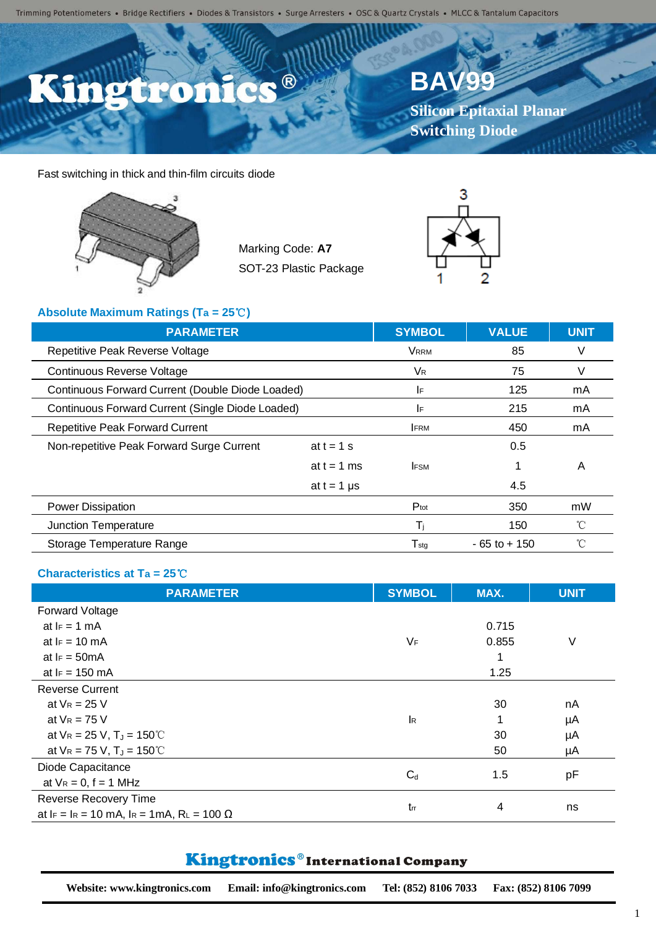Trimming Potentiometers • Bridge Rectifiers • Diodes & Transistors • Surge Arresters • OSC & Quartz Crystals • MLCC & Tantalum Capacitors

## C.C. ® D'ETEC

# **BAV99**

**Silicon Epitaxial Planar Switching Diode**

Fast switching in thick and thin-film circuits diode



Marking Code: **A7** SOT-23 Plastic Package



#### **Absolute Maximum Ratings (Ta = 25**℃**)**

| <b>PARAMETER</b>                                 |               | <b>SYMBOL</b>               | <b>VALUE</b>    |    |
|--------------------------------------------------|---------------|-----------------------------|-----------------|----|
| Repetitive Peak Reverse Voltage                  |               | <b>VRRM</b>                 | 85              | V  |
| <b>Continuous Reverse Voltage</b>                |               | V <sub>R</sub>              | 75              | V  |
| Continuous Forward Current (Double Diode Loaded) |               | 125<br>IF.                  |                 | mA |
| Continuous Forward Current (Single Diode Loaded) |               | 215<br>I۴                   |                 | mA |
| <b>Repetitive Peak Forward Current</b>           |               | <b>IFRM</b>                 | 450             | mA |
| Non-repetitive Peak Forward Surge Current        | at $t = 1$ s  |                             | 0.5             |    |
|                                                  | at $t = 1$ ms | <b>IFSM</b>                 |                 | A  |
|                                                  | at $t = 1$ µs |                             | 4.5             |    |
| <b>Power Dissipation</b>                         |               | $P_{\text{tot}}$            | 350             | mW |
| Junction Temperature                             |               | Ti                          | 150             | °C |
| Storage Temperature Range                        |               | $\mathsf{T}_{\textsf{stg}}$ | $-65$ to $+150$ | °C |

#### **Characteristics at Ta = 25**℃

| <b>PARAMETER</b>                                        | <b>SYMBOL</b> | MAX.  | <b>UNIT</b> |
|---------------------------------------------------------|---------------|-------|-------------|
| Forward Voltage                                         |               |       |             |
| at $I_F = 1$ mA                                         | $V_F$         | 0.715 | ٧           |
| at $F = 10$ mA                                          |               | 0.855 |             |
| at $I_F = 50mA$                                         |               | 1     |             |
| at $F = 150$ mA                                         |               | 1.25  |             |
| <b>Reverse Current</b>                                  | <b>I</b> R    |       |             |
| at $V_R = 25 V$                                         |               | 30    | nA          |
| at $V_R$ = 75 V                                         |               |       | μA          |
| at $V_R = 25 V$ , $T_J = 150^{\circ}$ C                 |               | 30    | μA          |
| at $V_R = 75 V$ , $T_J = 150^{\circ}$ C                 |               | 50    | μA          |
| Diode Capacitance                                       | $C_d$         | 1.5   | pF          |
| at $V_R = 0$ , $f = 1$ MHz                              |               |       |             |
| Reverse Recovery Time                                   | trr           | 4     | ns          |
| at $F = I_R = 10$ mA, $Ir = 1$ mA, $R_L = 100$ $\Omega$ |               |       |             |

### Kingtronics®International Company